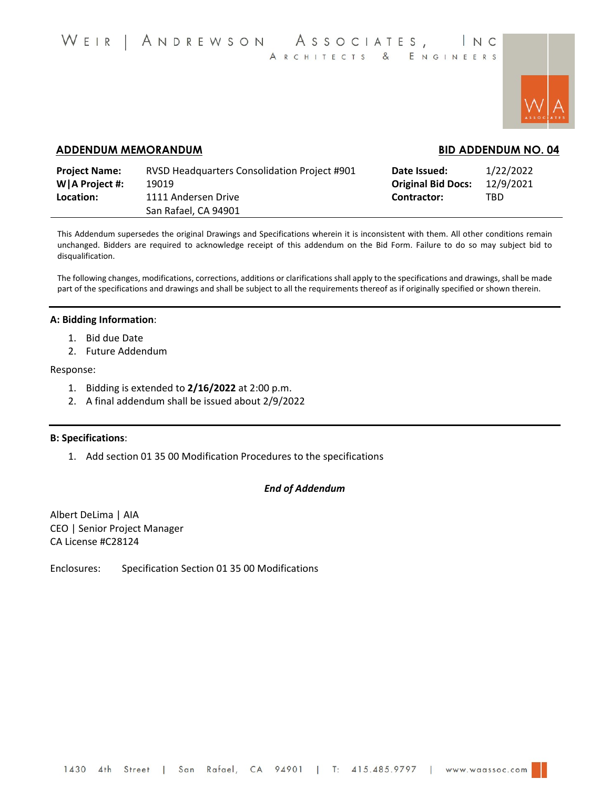

# **ADDENDUM MEMORANDUM BID ADDENDUM NO. 04**

| <b>Project Name:</b> | RVSD Headquarters Consolidation Project #901 | Date Issued:              | 1/22/2022 |
|----------------------|----------------------------------------------|---------------------------|-----------|
| W   A Project #:     | 19019                                        | <b>Original Bid Docs:</b> | 12/9/2021 |
| Location:            | 1111 Andersen Drive<br>San Rafael, CA 94901  | Contractor:               | TBD       |

This Addendum supersedes the original Drawings and Specifications wherein it is inconsistent with them. All other conditions remain unchanged. Bidders are required to acknowledge receipt of this addendum on the Bid Form. Failure to do so may subject bid to disqualification.

The following changes, modifications, corrections, additions or clarifications shall apply to the specifications and drawings, shall be made part of the specifications and drawings and shall be subject to all the requirements thereof as if originally specified or shown therein.

#### **A: Bidding Information**:

- 1. Bid due Date
- 2. Future Addendum

#### Response:

- 1. Bidding is extended to **2/16/2022** at 2:00 p.m.
- 2. A final addendum shall be issued about 2/9/2022

#### **B: Specifications**:

1. Add section 01 35 00 Modification Procedures to the specifications

#### *End of Addendum*

Albert DeLima | AIA CEO | Senior Project Manager CA License #C28124

Enclosures: Specification Section 01 35 00 Modifications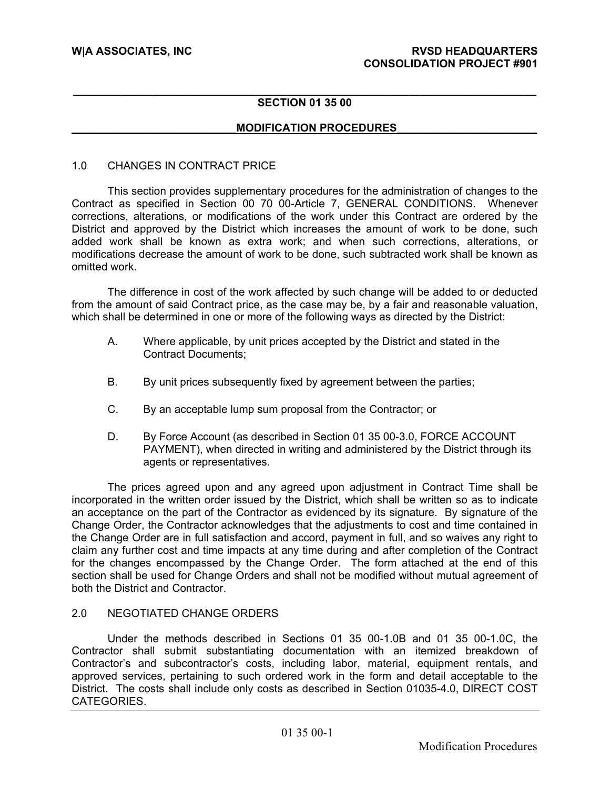#### **\_\_\_\_\_\_\_\_\_\_\_\_\_\_\_\_\_\_\_\_\_\_\_\_\_\_\_\_\_\_\_\_\_\_\_\_\_\_\_\_\_\_\_\_\_\_\_\_\_\_\_\_\_\_\_\_\_\_\_\_\_\_\_\_\_\_\_\_\_\_\_\_\_\_\_\_ SECTION 01 35 00**

# **\_\_\_\_\_\_\_\_\_\_\_\_\_\_\_\_\_\_\_\_\_\_\_\_\_\_\_MODIFICATION PROCEDURES\_\_\_\_\_\_\_\_\_\_\_\_\_\_\_\_\_\_\_\_\_\_\_**

#### 1.0 CHANGES IN CONTRACT PRICE

This section provides supplementary procedures for the administration of changes to the Contract as specified in Section 00 70 00-Article 7, GENERAL CONDITIONS. Whenever corrections, alterations, or modifications of the work under this Contract are ordered by the District and approved by the District which increases the amount of work to be done, such added work shall be known as extra work; and when such corrections, alterations, or modifications decrease the amount of work to be done, such subtracted work shall be known as omitted work.

The difference in cost of the work affected by such change will be added to or deducted from the amount of said Contract price, as the case may be, by a fair and reasonable valuation, which shall be determined in one or more of the following ways as directed by the District:

- A. Where applicable, by unit prices accepted by the District and stated in the Contract Documents;
- B. By unit prices subsequently fixed by agreement between the parties;
- C. By an acceptable lump sum proposal from the Contractor; or
- D. By Force Account (as described in Section 01 35 00-3.0, FORCE ACCOUNT PAYMENT), when directed in writing and administered by the District through its agents or representatives.

The prices agreed upon and any agreed upon adjustment in Contract Time shall be incorporated in the written order issued by the District, which shall be written so as to indicate an acceptance on the part of the Contractor as evidenced by its signature. By signature of the Change Order, the Contractor acknowledges that the adjustments to cost and time contained in the Change Order are in full satisfaction and accord, payment in full, and so waives any right to claim any further cost and time impacts at any time during and after completion of the Contract for the changes encompassed by the Change Order. The form attached at the end of this section shall be used for Change Orders and shall not be modified without mutual agreement of both the District and Contractor.

#### 2.0 NEGOTIATED CHANGE ORDERS

Under the methods described in Sections 01 35 00-1.0B and 01 35 00-1.0C, the Contractor shall submit substantiating documentation with an itemized breakdown of Contractor's and subcontractor's costs, including labor, material, equipment rentals, and approved services, pertaining to such ordered work in the form and detail acceptable to the District. The costs shall include only costs as described in Section 01035-4.0, DIRECT COST CATEGORIES.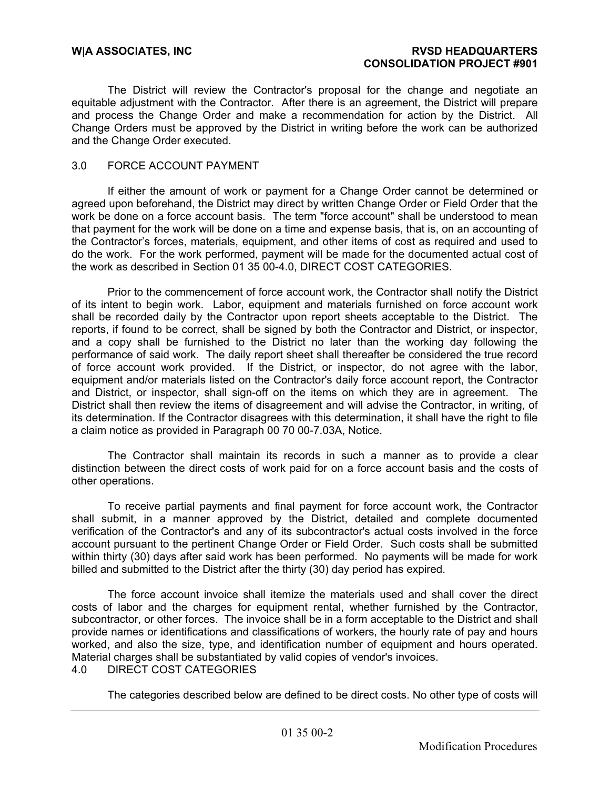The District will review the Contractor's proposal for the change and negotiate an equitable adjustment with the Contractor. After there is an agreement, the District will prepare and process the Change Order and make a recommendation for action by the District. All Change Orders must be approved by the District in writing before the work can be authorized and the Change Order executed.

# 3.0 FORCE ACCOUNT PAYMENT

If either the amount of work or payment for a Change Order cannot be determined or agreed upon beforehand, the District may direct by written Change Order or Field Order that the work be done on a force account basis. The term "force account" shall be understood to mean that payment for the work will be done on a time and expense basis, that is, on an accounting of the Contractor's forces, materials, equipment, and other items of cost as required and used to do the work. For the work performed, payment will be made for the documented actual cost of the work as described in Section 01 35 00-4.0, DIRECT COST CATEGORIES.

Prior to the commencement of force account work, the Contractor shall notify the District of its intent to begin work. Labor, equipment and materials furnished on force account work shall be recorded daily by the Contractor upon report sheets acceptable to the District. The reports, if found to be correct, shall be signed by both the Contractor and District, or inspector, and a copy shall be furnished to the District no later than the working day following the performance of said work. The daily report sheet shall thereafter be considered the true record of force account work provided. If the District, or inspector, do not agree with the labor, equipment and/or materials listed on the Contractor's daily force account report, the Contractor and District, or inspector, shall sign-off on the items on which they are in agreement. The District shall then review the items of disagreement and will advise the Contractor, in writing, of its determination. If the Contractor disagrees with this determination, it shall have the right to file a claim notice as provided in Paragraph 00 70 00-7.03A, Notice.

The Contractor shall maintain its records in such a manner as to provide a clear distinction between the direct costs of work paid for on a force account basis and the costs of other operations.

To receive partial payments and final payment for force account work, the Contractor shall submit, in a manner approved by the District, detailed and complete documented verification of the Contractor's and any of its subcontractor's actual costs involved in the force account pursuant to the pertinent Change Order or Field Order. Such costs shall be submitted within thirty (30) days after said work has been performed. No payments will be made for work billed and submitted to the District after the thirty (30) day period has expired.

The force account invoice shall itemize the materials used and shall cover the direct costs of labor and the charges for equipment rental, whether furnished by the Contractor, subcontractor, or other forces. The invoice shall be in a form acceptable to the District and shall provide names or identifications and classifications of workers, the hourly rate of pay and hours worked, and also the size, type, and identification number of equipment and hours operated. Material charges shall be substantiated by valid copies of vendor's invoices. 4.0 DIRECT COST CATEGORIES

The categories described below are defined to be direct costs. No other type of costs will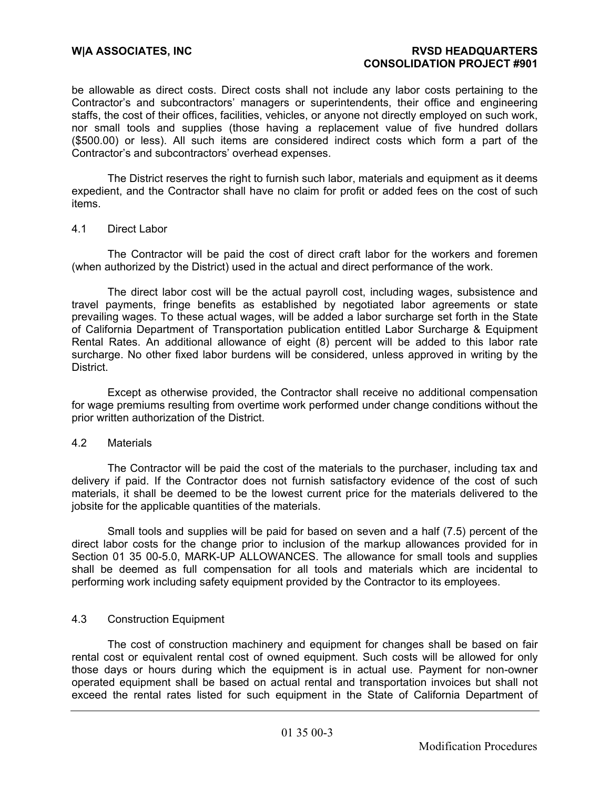be allowable as direct costs. Direct costs shall not include any labor costs pertaining to the Contractor's and subcontractors' managers or superintendents, their office and engineering staffs, the cost of their offices, facilities, vehicles, or anyone not directly employed on such work, nor small tools and supplies (those having a replacement value of five hundred dollars (\$500.00) or less). All such items are considered indirect costs which form a part of the Contractor's and subcontractors' overhead expenses.

The District reserves the right to furnish such labor, materials and equipment as it deems expedient, and the Contractor shall have no claim for profit or added fees on the cost of such items.

#### 4.1 Direct Labor

The Contractor will be paid the cost of direct craft labor for the workers and foremen (when authorized by the District) used in the actual and direct performance of the work.

The direct labor cost will be the actual payroll cost, including wages, subsistence and travel payments, fringe benefits as established by negotiated labor agreements or state prevailing wages. To these actual wages, will be added a labor surcharge set forth in the State of California Department of Transportation publication entitled Labor Surcharge & Equipment Rental Rates. An additional allowance of eight (8) percent will be added to this labor rate surcharge. No other fixed labor burdens will be considered, unless approved in writing by the District.

Except as otherwise provided, the Contractor shall receive no additional compensation for wage premiums resulting from overtime work performed under change conditions without the prior written authorization of the District.

#### 4.2 Materials

The Contractor will be paid the cost of the materials to the purchaser, including tax and delivery if paid. If the Contractor does not furnish satisfactory evidence of the cost of such materials, it shall be deemed to be the lowest current price for the materials delivered to the jobsite for the applicable quantities of the materials.

Small tools and supplies will be paid for based on seven and a half (7.5) percent of the direct labor costs for the change prior to inclusion of the markup allowances provided for in Section 01 35 00-5.0, MARK-UP ALLOWANCES. The allowance for small tools and supplies shall be deemed as full compensation for all tools and materials which are incidental to performing work including safety equipment provided by the Contractor to its employees.

#### 4.3 Construction Equipment

The cost of construction machinery and equipment for changes shall be based on fair rental cost or equivalent rental cost of owned equipment. Such costs will be allowed for only those days or hours during which the equipment is in actual use. Payment for non-owner operated equipment shall be based on actual rental and transportation invoices but shall not exceed the rental rates listed for such equipment in the State of California Department of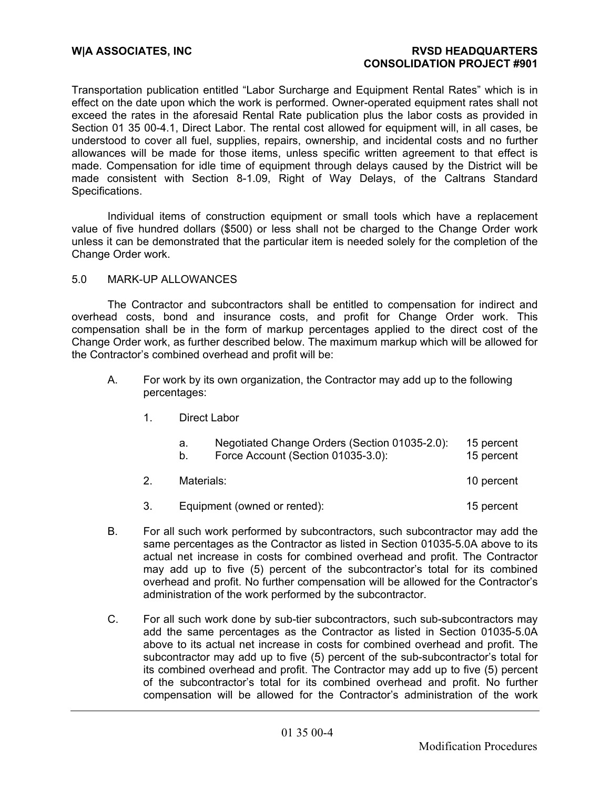Transportation publication entitled "Labor Surcharge and Equipment Rental Rates" which is in effect on the date upon which the work is performed. Owner-operated equipment rates shall not exceed the rates in the aforesaid Rental Rate publication plus the labor costs as provided in Section 01 35 00-4.1, Direct Labor. The rental cost allowed for equipment will, in all cases, be understood to cover all fuel, supplies, repairs, ownership, and incidental costs and no further allowances will be made for those items, unless specific written agreement to that effect is made. Compensation for idle time of equipment through delays caused by the District will be made consistent with Section 8-1.09, Right of Way Delays, of the Caltrans Standard Specifications.

Individual items of construction equipment or small tools which have a replacement value of five hundred dollars (\$500) or less shall not be charged to the Change Order work unless it can be demonstrated that the particular item is needed solely for the completion of the Change Order work.

# 5.0 MARK-UP ALLOWANCES

The Contractor and subcontractors shall be entitled to compensation for indirect and overhead costs, bond and insurance costs, and profit for Change Order work. This compensation shall be in the form of markup percentages applied to the direct cost of the Change Order work, as further described below. The maximum markup which will be allowed for the Contractor's combined overhead and profit will be:

- A. For work by its own organization, the Contractor may add up to the following percentages:
	- 1. Direct Labor

| а. | Negotiated Change Orders (Section 01035-2.0): | 15 percent |
|----|-----------------------------------------------|------------|
| b. | Force Account (Section 01035-3.0):            | 15 percent |
|    | Materials:                                    |            |

- 3. Equipment (owned or rented): 15 percent
- B. For all such work performed by subcontractors, such subcontractor may add the same percentages as the Contractor as listed in Section 01035-5.0A above to its actual net increase in costs for combined overhead and profit. The Contractor may add up to five (5) percent of the subcontractor's total for its combined overhead and profit. No further compensation will be allowed for the Contractor's administration of the work performed by the subcontractor.
- C. For all such work done by sub-tier subcontractors, such sub-subcontractors may add the same percentages as the Contractor as listed in Section 01035-5.0A above to its actual net increase in costs for combined overhead and profit. The subcontractor may add up to five (5) percent of the sub-subcontractor's total for its combined overhead and profit. The Contractor may add up to five (5) percent of the subcontractor's total for its combined overhead and profit. No further compensation will be allowed for the Contractor's administration of the work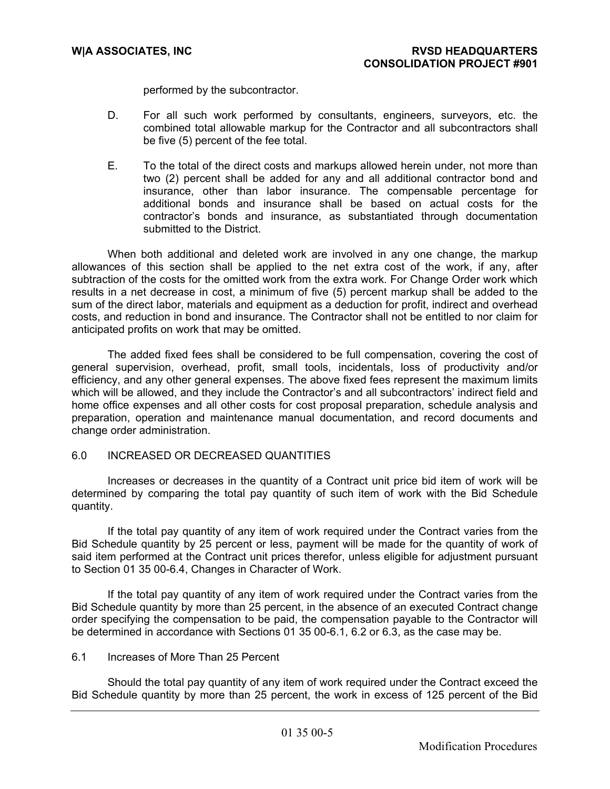performed by the subcontractor.

- D. For all such work performed by consultants, engineers, surveyors, etc. the combined total allowable markup for the Contractor and all subcontractors shall be five (5) percent of the fee total.
- E. To the total of the direct costs and markups allowed herein under, not more than two (2) percent shall be added for any and all additional contractor bond and insurance, other than labor insurance. The compensable percentage for additional bonds and insurance shall be based on actual costs for the contractor's bonds and insurance, as substantiated through documentation submitted to the District.

When both additional and deleted work are involved in any one change, the markup allowances of this section shall be applied to the net extra cost of the work, if any, after subtraction of the costs for the omitted work from the extra work. For Change Order work which results in a net decrease in cost, a minimum of five (5) percent markup shall be added to the sum of the direct labor, materials and equipment as a deduction for profit, indirect and overhead costs, and reduction in bond and insurance. The Contractor shall not be entitled to nor claim for anticipated profits on work that may be omitted.

The added fixed fees shall be considered to be full compensation, covering the cost of general supervision, overhead, profit, small tools, incidentals, loss of productivity and/or efficiency, and any other general expenses. The above fixed fees represent the maximum limits which will be allowed, and they include the Contractor's and all subcontractors' indirect field and home office expenses and all other costs for cost proposal preparation, schedule analysis and preparation, operation and maintenance manual documentation, and record documents and change order administration.

# 6.0 INCREASED OR DECREASED QUANTITIES

Increases or decreases in the quantity of a Contract unit price bid item of work will be determined by comparing the total pay quantity of such item of work with the Bid Schedule quantity.

If the total pay quantity of any item of work required under the Contract varies from the Bid Schedule quantity by 25 percent or less, payment will be made for the quantity of work of said item performed at the Contract unit prices therefor, unless eligible for adjustment pursuant to Section 01 35 00-6.4, Changes in Character of Work.

If the total pay quantity of any item of work required under the Contract varies from the Bid Schedule quantity by more than 25 percent, in the absence of an executed Contract change order specifying the compensation to be paid, the compensation payable to the Contractor will be determined in accordance with Sections 01 35 00-6.1, 6.2 or 6.3, as the case may be.

# 6.1 Increases of More Than 25 Percent

Should the total pay quantity of any item of work required under the Contract exceed the Bid Schedule quantity by more than 25 percent, the work in excess of 125 percent of the Bid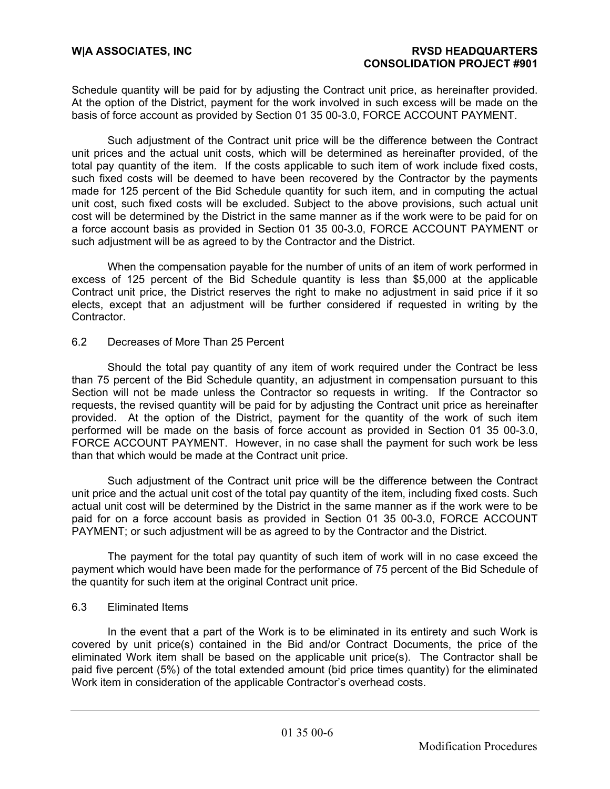Schedule quantity will be paid for by adjusting the Contract unit price, as hereinafter provided. At the option of the District, payment for the work involved in such excess will be made on the basis of force account as provided by Section 01 35 00-3.0, FORCE ACCOUNT PAYMENT.

Such adjustment of the Contract unit price will be the difference between the Contract unit prices and the actual unit costs, which will be determined as hereinafter provided, of the total pay quantity of the item. If the costs applicable to such item of work include fixed costs, such fixed costs will be deemed to have been recovered by the Contractor by the payments made for 125 percent of the Bid Schedule quantity for such item, and in computing the actual unit cost, such fixed costs will be excluded. Subject to the above provisions, such actual unit cost will be determined by the District in the same manner as if the work were to be paid for on a force account basis as provided in Section 01 35 00-3.0, FORCE ACCOUNT PAYMENT or such adjustment will be as agreed to by the Contractor and the District.

When the compensation payable for the number of units of an item of work performed in excess of 125 percent of the Bid Schedule quantity is less than \$5,000 at the applicable Contract unit price, the District reserves the right to make no adjustment in said price if it so elects, except that an adjustment will be further considered if requested in writing by the Contractor.

# 6.2 Decreases of More Than 25 Percent

Should the total pay quantity of any item of work required under the Contract be less than 75 percent of the Bid Schedule quantity, an adjustment in compensation pursuant to this Section will not be made unless the Contractor so requests in writing. If the Contractor so requests, the revised quantity will be paid for by adjusting the Contract unit price as hereinafter provided. At the option of the District, payment for the quantity of the work of such item performed will be made on the basis of force account as provided in Section 01 35 00-3.0, FORCE ACCOUNT PAYMENT. However, in no case shall the payment for such work be less than that which would be made at the Contract unit price.

Such adjustment of the Contract unit price will be the difference between the Contract unit price and the actual unit cost of the total pay quantity of the item, including fixed costs. Such actual unit cost will be determined by the District in the same manner as if the work were to be paid for on a force account basis as provided in Section 01 35 00-3.0, FORCE ACCOUNT PAYMENT; or such adjustment will be as agreed to by the Contractor and the District.

The payment for the total pay quantity of such item of work will in no case exceed the payment which would have been made for the performance of 75 percent of the Bid Schedule of the quantity for such item at the original Contract unit price.

#### 6.3 Eliminated Items

In the event that a part of the Work is to be eliminated in its entirety and such Work is covered by unit price(s) contained in the Bid and/or Contract Documents, the price of the eliminated Work item shall be based on the applicable unit price(s). The Contractor shall be paid five percent (5%) of the total extended amount (bid price times quantity) for the eliminated Work item in consideration of the applicable Contractor's overhead costs.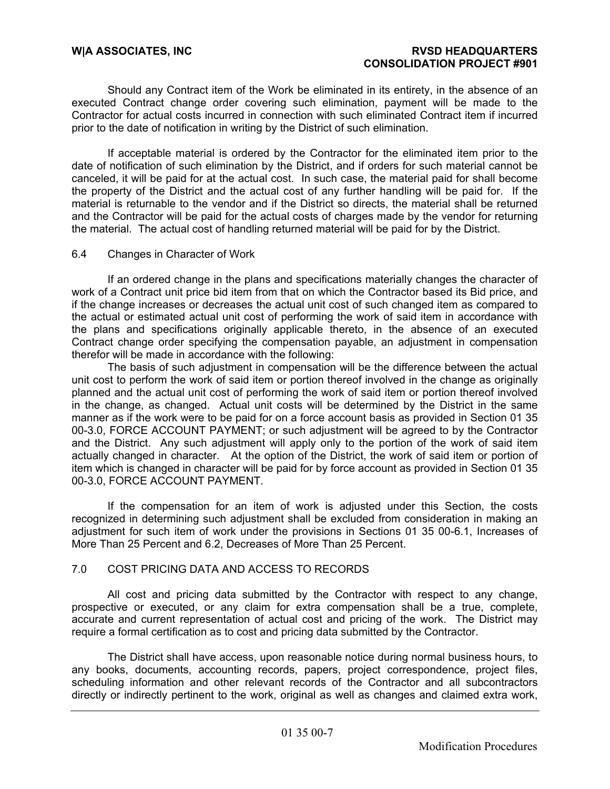Should any Contract item of the Work be eliminated in its entirety, in the absence of an executed Contract change order covering such elimination, payment will be made to the Contractor for actual costs incurred in connection with such eliminated Contract item if incurred prior to the date of notification in writing by the District of such elimination.

If acceptable material is ordered by the Contractor for the eliminated item prior to the date of notification of such elimination by the District, and if orders for such material cannot be canceled, it will be paid for at the actual cost. In such case, the material paid for shall become the property of the District and the actual cost of any further handling will be paid for. If the material is returnable to the vendor and if the District so directs, the material shall be returned and the Contractor will be paid for the actual costs of charges made by the vendor for returning the material. The actual cost of handling returned material will be paid for by the District.

# 6.4 Changes in Character of Work

If an ordered change in the plans and specifications materially changes the character of work of a Contract unit price bid item from that on which the Contractor based its Bid price, and if the change increases or decreases the actual unit cost of such changed item as compared to the actual or estimated actual unit cost of performing the work of said item in accordance with the plans and specifications originally applicable thereto, in the absence of an executed Contract change order specifying the compensation payable, an adjustment in compensation therefor will be made in accordance with the following:

The basis of such adjustment in compensation will be the difference between the actual unit cost to perform the work of said item or portion thereof involved in the change as originally planned and the actual unit cost of performing the work of said item or portion thereof involved in the change, as changed. Actual unit costs will be determined by the District in the same manner as if the work were to be paid for on a force account basis as provided in Section 01 35 00-3.0, FORCE ACCOUNT PAYMENT; or such adjustment will be agreed to by the Contractor and the District. Any such adjustment will apply only to the portion of the work of said item actually changed in character. At the option of the District, the work of said item or portion of item which is changed in character will be paid for by force account as provided in Section 01 35 00-3.0, FORCE ACCOUNT PAYMENT.

If the compensation for an item of work is adjusted under this Section, the costs recognized in determining such adjustment shall be excluded from consideration in making an adjustment for such item of work under the provisions in Sections 01 35 00-6.1, Increases of More Than 25 Percent and 6.2, Decreases of More Than 25 Percent.

# 7.0 COST PRICING DATA AND ACCESS TO RECORDS

All cost and pricing data submitted by the Contractor with respect to any change, prospective or executed, or any claim for extra compensation shall be a true, complete, accurate and current representation of actual cost and pricing of the work. The District may require a formal certification as to cost and pricing data submitted by the Contractor.

The District shall have access, upon reasonable notice during normal business hours, to any books, documents, accounting records, papers, project correspondence, project files, scheduling information and other relevant records of the Contractor and all subcontractors directly or indirectly pertinent to the work, original as well as changes and claimed extra work,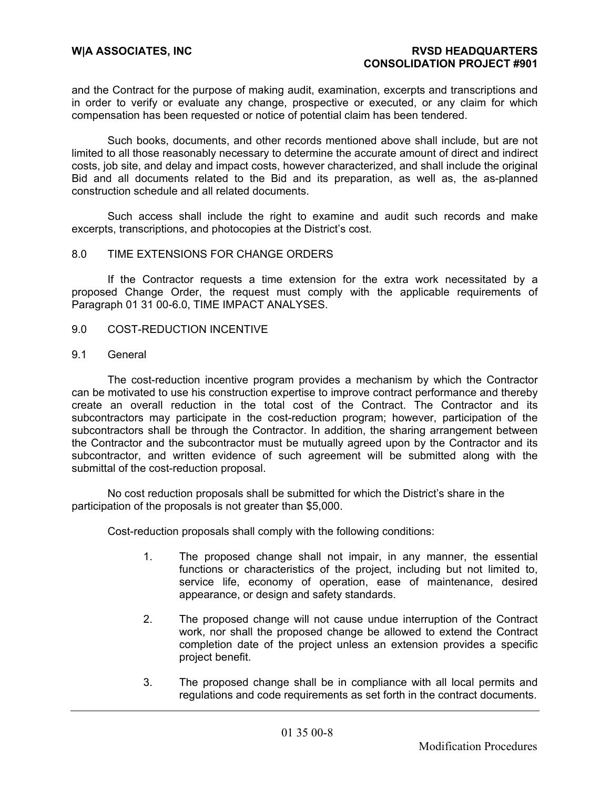and the Contract for the purpose of making audit, examination, excerpts and transcriptions and in order to verify or evaluate any change, prospective or executed, or any claim for which compensation has been requested or notice of potential claim has been tendered.

Such books, documents, and other records mentioned above shall include, but are not limited to all those reasonably necessary to determine the accurate amount of direct and indirect costs, job site, and delay and impact costs, however characterized, and shall include the original Bid and all documents related to the Bid and its preparation, as well as, the as-planned construction schedule and all related documents.

Such access shall include the right to examine and audit such records and make excerpts, transcriptions, and photocopies at the District's cost.

# 8.0 TIME EXTENSIONS FOR CHANGE ORDERS

If the Contractor requests a time extension for the extra work necessitated by a proposed Change Order, the request must comply with the applicable requirements of Paragraph 01 31 00-6.0, TIME IMPACT ANALYSES.

- 9.0 COST-REDUCTION INCENTIVE
- 9.1 General

 The cost-reduction incentive program provides a mechanism by which the Contractor can be motivated to use his construction expertise to improve contract performance and thereby create an overall reduction in the total cost of the Contract. The Contractor and its subcontractors may participate in the cost-reduction program; however, participation of the subcontractors shall be through the Contractor. In addition, the sharing arrangement between the Contractor and the subcontractor must be mutually agreed upon by the Contractor and its subcontractor, and written evidence of such agreement will be submitted along with the submittal of the cost-reduction proposal.

 No cost reduction proposals shall be submitted for which the District's share in the participation of the proposals is not greater than \$5,000.

Cost-reduction proposals shall comply with the following conditions:

- 1. The proposed change shall not impair, in any manner, the essential functions or characteristics of the project, including but not limited to, service life, economy of operation, ease of maintenance, desired appearance, or design and safety standards.
- 2. The proposed change will not cause undue interruption of the Contract work, nor shall the proposed change be allowed to extend the Contract completion date of the project unless an extension provides a specific project benefit.
- 3. The proposed change shall be in compliance with all local permits and regulations and code requirements as set forth in the contract documents.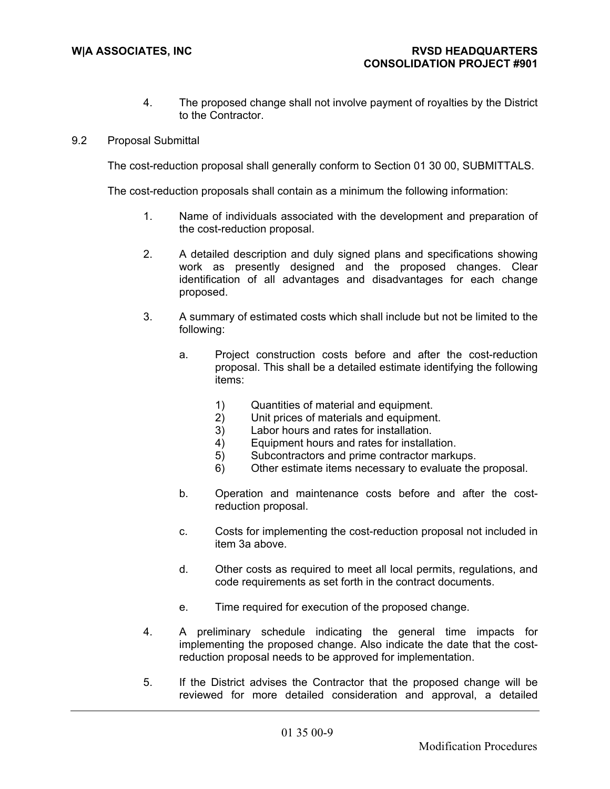- 4. The proposed change shall not involve payment of royalties by the District to the Contractor.
- 9.2 Proposal Submittal

The cost-reduction proposal shall generally conform to Section 01 30 00, SUBMITTALS.

The cost-reduction proposals shall contain as a minimum the following information:

- 1. Name of individuals associated with the development and preparation of the cost-reduction proposal.
- 2. A detailed description and duly signed plans and specifications showing work as presently designed and the proposed changes. Clear identification of all advantages and disadvantages for each change proposed.
- 3. A summary of estimated costs which shall include but not be limited to the following:
	- a. Project construction costs before and after the cost-reduction proposal. This shall be a detailed estimate identifying the following items:
		- 1) Quantities of material and equipment.<br>2) Unit prices of materials and equipment
		- Unit prices of materials and equipment.
		- 3) Labor hours and rates for installation.
		- 4) Equipment hours and rates for installation.
		- 5) Subcontractors and prime contractor markups.
		- 6) Other estimate items necessary to evaluate the proposal.
	- b. Operation and maintenance costs before and after the costreduction proposal.
	- c. Costs for implementing the cost-reduction proposal not included in item 3a above.
	- d. Other costs as required to meet all local permits, regulations, and code requirements as set forth in the contract documents.
	- e. Time required for execution of the proposed change.
- 4. A preliminary schedule indicating the general time impacts for implementing the proposed change. Also indicate the date that the costreduction proposal needs to be approved for implementation.
- 5. If the District advises the Contractor that the proposed change will be reviewed for more detailed consideration and approval, a detailed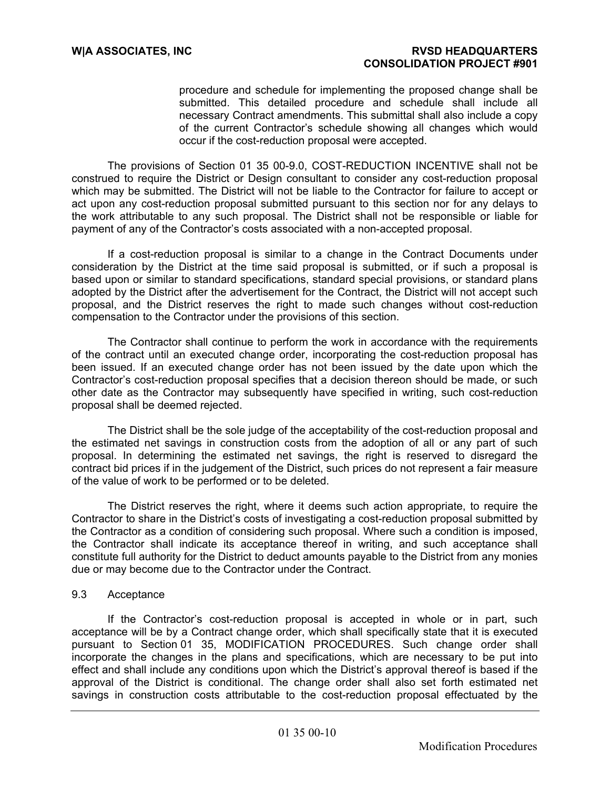procedure and schedule for implementing the proposed change shall be submitted. This detailed procedure and schedule shall include all necessary Contract amendments. This submittal shall also include a copy of the current Contractor's schedule showing all changes which would occur if the cost-reduction proposal were accepted.

 The provisions of Section 01 35 00-9.0, COST-REDUCTION INCENTIVE shall not be construed to require the District or Design consultant to consider any cost-reduction proposal which may be submitted. The District will not be liable to the Contractor for failure to accept or act upon any cost-reduction proposal submitted pursuant to this section nor for any delays to the work attributable to any such proposal. The District shall not be responsible or liable for payment of any of the Contractor's costs associated with a non-accepted proposal.

 If a cost-reduction proposal is similar to a change in the Contract Documents under consideration by the District at the time said proposal is submitted, or if such a proposal is based upon or similar to standard specifications, standard special provisions, or standard plans adopted by the District after the advertisement for the Contract, the District will not accept such proposal, and the District reserves the right to made such changes without cost-reduction compensation to the Contractor under the provisions of this section.

 The Contractor shall continue to perform the work in accordance with the requirements of the contract until an executed change order, incorporating the cost-reduction proposal has been issued. If an executed change order has not been issued by the date upon which the Contractor's cost-reduction proposal specifies that a decision thereon should be made, or such other date as the Contractor may subsequently have specified in writing, such cost-reduction proposal shall be deemed rejected.

 The District shall be the sole judge of the acceptability of the cost-reduction proposal and the estimated net savings in construction costs from the adoption of all or any part of such proposal. In determining the estimated net savings, the right is reserved to disregard the contract bid prices if in the judgement of the District, such prices do not represent a fair measure of the value of work to be performed or to be deleted.

 The District reserves the right, where it deems such action appropriate, to require the Contractor to share in the District's costs of investigating a cost-reduction proposal submitted by the Contractor as a condition of considering such proposal. Where such a condition is imposed, the Contractor shall indicate its acceptance thereof in writing, and such acceptance shall constitute full authority for the District to deduct amounts payable to the District from any monies due or may become due to the Contractor under the Contract.

# 9.3 Acceptance

 If the Contractor's cost-reduction proposal is accepted in whole or in part, such acceptance will be by a Contract change order, which shall specifically state that it is executed pursuant to Section 01 35, MODIFICATION PROCEDURES. Such change order shall incorporate the changes in the plans and specifications, which are necessary to be put into effect and shall include any conditions upon which the District's approval thereof is based if the approval of the District is conditional. The change order shall also set forth estimated net savings in construction costs attributable to the cost-reduction proposal effectuated by the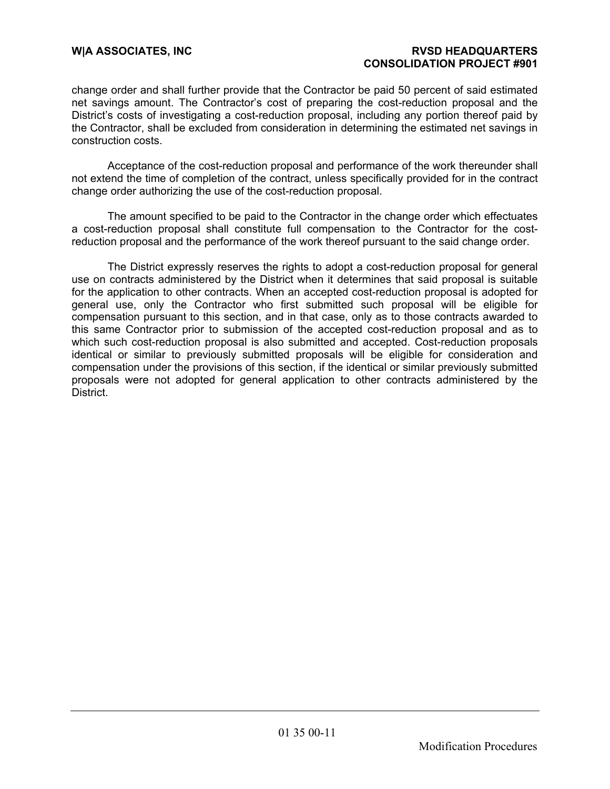change order and shall further provide that the Contractor be paid 50 percent of said estimated net savings amount. The Contractor's cost of preparing the cost-reduction proposal and the District's costs of investigating a cost-reduction proposal, including any portion thereof paid by the Contractor, shall be excluded from consideration in determining the estimated net savings in construction costs.

 Acceptance of the cost-reduction proposal and performance of the work thereunder shall not extend the time of completion of the contract, unless specifically provided for in the contract change order authorizing the use of the cost-reduction proposal.

 The amount specified to be paid to the Contractor in the change order which effectuates a cost-reduction proposal shall constitute full compensation to the Contractor for the costreduction proposal and the performance of the work thereof pursuant to the said change order.

 The District expressly reserves the rights to adopt a cost-reduction proposal for general use on contracts administered by the District when it determines that said proposal is suitable for the application to other contracts. When an accepted cost-reduction proposal is adopted for general use, only the Contractor who first submitted such proposal will be eligible for compensation pursuant to this section, and in that case, only as to those contracts awarded to this same Contractor prior to submission of the accepted cost-reduction proposal and as to which such cost-reduction proposal is also submitted and accepted. Cost-reduction proposals identical or similar to previously submitted proposals will be eligible for consideration and compensation under the provisions of this section, if the identical or similar previously submitted proposals were not adopted for general application to other contracts administered by the District.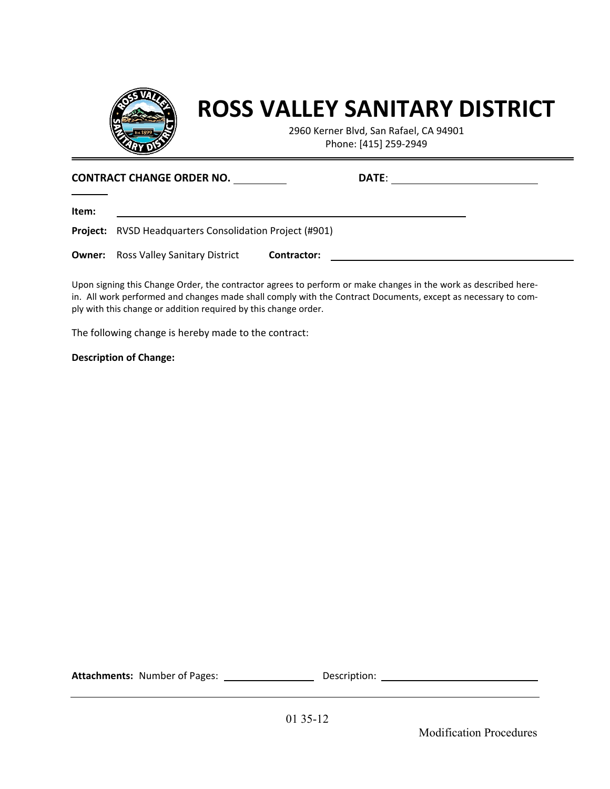

# **ROSS VALLEY SANITARY DISTRICT**

2960 Kerner Blvd, San Rafael, CA 94901 Phone: [415] 259-2949

| <b>CONTRACT CHANGE ORDER NO.</b> |                                                                |             | <b>DATE:</b> |  |
|----------------------------------|----------------------------------------------------------------|-------------|--------------|--|
| ltem:                            |                                                                |             |              |  |
|                                  | <b>Project:</b> RVSD Headquarters Consolidation Project (#901) |             |              |  |
|                                  | <b>Owner:</b> Ross Valley Sanitary District                    | Contractor: |              |  |

Upon signing this Change Order, the contractor agrees to perform or make changes in the work as described herein. All work performed and changes made shall comply with the Contract Documents, except as necessary to comply with this change or addition required by this change order.

The following change is hereby made to the contract:

#### **Description of Change:**

**Attachments:** Number of Pages: Description:

Modification Procedures